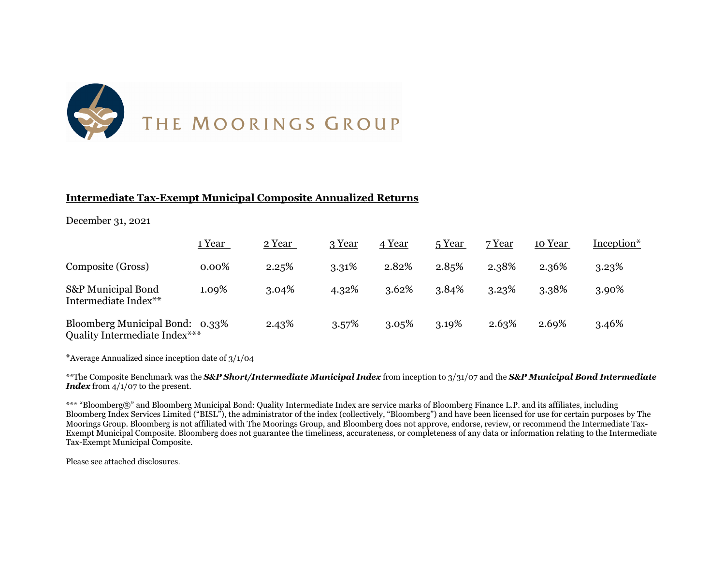

### **Intermediate Tax-Exempt Municipal Composite Annualized Returns**

December 31, 2021

|                                                                  | 1 Year | 2 Year | 3 Year   | 4 Year | 5 Year | 7 Year | 10 Year | Inception* |
|------------------------------------------------------------------|--------|--------|----------|--------|--------|--------|---------|------------|
| Composite (Gross)                                                | 0.00%  | 2.25%  | 3.31%    | 2.82%  | 2.85%  | 2.38%  | 2.36%   | 3.23%      |
| S&P Municipal Bond<br>Intermediate Index**                       | 1.09%  | 3.04%  | 4.32%    | 3.62%  | 3.84%  | 3.23%  | 3.38%   | 3.90%      |
| Bloomberg Municipal Bond: 0.33%<br>Quality Intermediate Index*** |        | 2.43%  | $3.57\%$ | 3.05%  | 3.19%  | 2.63%  | 2.69%   | 3.46%      |

\*Average Annualized since inception date of 3/1/04

\*\*The Composite Benchmark was the *S&P Short/Intermediate Municipal Index* from inception to 3/31/07 and the *S&P Municipal Bond Intermediate Index* from  $4/1/07$  to the present.

\*\*\* "Bloomberg®" and Bloomberg Municipal Bond: Quality Intermediate Index are service marks of Bloomberg Finance L.P. and its affiliates, including Bloomberg Index Services Limited ("BISL"), the administrator of the index (collectively, "Bloomberg") and have been licensed for use for certain purposes by The Moorings Group. Bloomberg is not affiliated with The Moorings Group, and Bloomberg does not approve, endorse, review, or recommend the Intermediate Tax-Exempt Municipal Composite. Bloomberg does not guarantee the timeliness, accurateness, or completeness of any data or information relating to the Intermediate Tax-Exempt Municipal Composite.

Please see attached disclosures.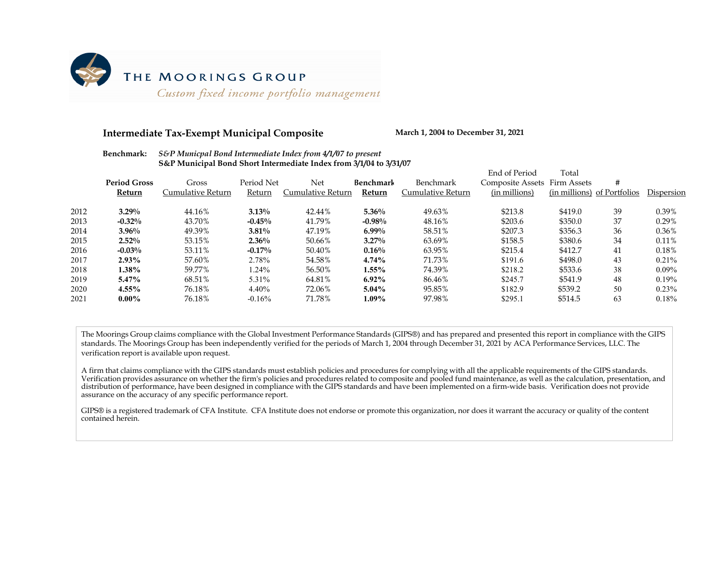

#### **Intermediate Tax-Exempt Municipal Composite March 1, 2004 to December 31, 2021**

|      |                     |                   |            |                   |           |                   | End of Period                | Гоtal                       |    |            |
|------|---------------------|-------------------|------------|-------------------|-----------|-------------------|------------------------------|-----------------------------|----|------------|
|      | <b>Period Gross</b> | Gross             | Period Net | Net               | Benchmark | Benchmark         | Composite Assets Firm Assets |                             | #  |            |
|      | Return              | Cumulative Return | Return     | Cumulative Return | Return    | Cumulative Return | (in millions)                | (in millions) of Portfolios |    | Dispersion |
| 2012 | $3.29\%$            | 44.16%            | $3.13\%$   | 42.44%            | $5.36\%$  | 49.63%            | \$213.8                      | \$419.0                     | 39 | 0.39%      |
| 2013 | $-0.32%$            | 43.70%            | $-0.45%$   | 41.79%            | $-0.98%$  | 48.16%            | \$203.6                      | \$350.0                     | 37 | 0.29%      |
| 2014 | $3.96\%$            | 49.39%            | $3.81\%$   | 47.19%            | $6.99\%$  | 58.51%            | \$207.3                      | \$356.3                     | 36 | 0.36%      |
| 2015 | $2.52\%$            | 53.15%            | $2.36\%$   | 50.66%            | $3.27\%$  | 63.69%            | \$158.5                      | \$380.6                     | 34 | 0.11%      |
| 2016 | $-0.03%$            | 53.11%            | $-0.17%$   | 50.40%            | $0.16\%$  | 63.95%            | \$215.4                      | \$412.7                     | 41 | 0.18%      |
| 2017 | 2.93%               | 57.60%            | 2.78%      | 54.58%            | 4.74%     | 71.73%            | \$191.6                      | \$498.0                     | 43 | 0.21%      |
| 2018 | 1.38%               | 59.77%            | 1.24%      | 56.50%            | $1.55\%$  | 74.39%            | \$218.2                      | \$533.6                     | 38 | $0.09\%$   |
| 2019 | 5.47%               | 68.51%            | 5.31%      | 64.81%            | $6.92\%$  | 86.46%            | \$245.7                      | \$541.9                     | 48 | 0.19%      |
| 2020 | 4.55%               | 76.18%            | 4.40%      | 72.06%            | $5.04\%$  | 95.85%            | \$182.9                      | \$539.2                     | 50 | 0.23%      |
| 2021 | $0.00\%$            | 76.18%            | $-0.16%$   | 71.78%            | 1.09%     | 97.98%            | \$295.1                      | \$514.5                     | 63 | 0.18%      |
|      |                     |                   |            |                   |           |                   |                              |                             |    |            |

#### **Benchmark:** *S&P Municpal Bond Intermediate Index from 4/1/07 to present* **S&P Municipal Bond Short Intermediate Index from 3/1/04 to 3/31/07**

The Moorings Group claims compliance with the Global Investment Performance Standards (GIPS®) and has prepared and presented this report in compliance with the GIPS standards. The Moorings Group has been independently verified for the periods of March 1, 2004 through December 31, 2021 by ACA Performance Services, LLC. The verification report is available upon request.

A firm that claims compliance with the GIPS standards must establish policies and procedures for complying with all the applicable requirements of the GIPS standards. Verification provides assurance on whether the firm's policies and procedures related to composite and pooled fund maintenance, as well as the calculation, presentation, and distribution of performance, have been designed in compliance with the GIPS standards and have been implemented on a firm-wide basis. Verification does not provide assurance on the accuracy of any specific performance report.

GIPS® is a registered trademark of CFA Institute. CFA Institute does not endorse or promote this organization, nor does it warrant the accuracy or quality of the content contained herein.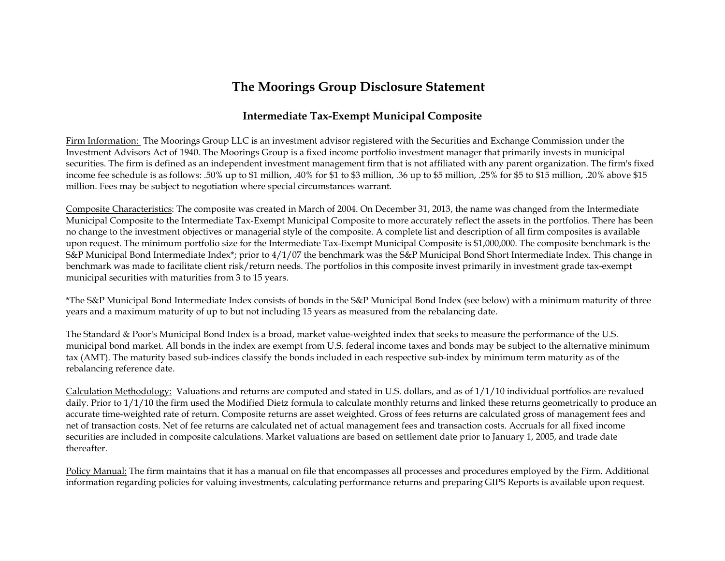# **The Moorings Group Disclosure Statement**

## **Intermediate Tax-Exempt Municipal Composite**

Firm Information: The Moorings Group LLC is an investment advisor registered with the Securities and Exchange Commission under the Investment Advisors Act of 1940. The Moorings Group is a fixed income portfolio investment manager that primarily invests in municipal securities. The firm is defined as an independent investment management firm that is not affiliated with any parent organization. The firm's fixed income fee schedule is as follows: .50% up to \$1 million, .40% for \$1 to \$3 million, .36 up to \$5 million, .25% for \$5 to \$15 million, .20% above \$15 million. Fees may be subject to negotiation where special circumstances warrant.

Composite Characteristics: The composite was created in March of 2004. On December 31, 2013, the name was changed from the Intermediate Municipal Composite to the Intermediate Tax-Exempt Municipal Composite to more accurately reflect the assets in the portfolios. There has been no change to the investment objectives or managerial style of the composite. A complete list and description of all firm composites is available upon request. The minimum portfolio size for the Intermediate Tax-Exempt Municipal Composite is \$1,000,000. The composite benchmark is the S&P Municipal Bond Intermediate Index\*; prior to 4/1/07 the benchmark was the S&P Municipal Bond Short Intermediate Index. This change in benchmark was made to facilitate client risk/return needs. The portfolios in this composite invest primarily in investment grade tax-exempt municipal securities with maturities from 3 to 15 years.

\*The S&P Municipal Bond Intermediate Index consists of bonds in the S&P Municipal Bond Index (see below) with a minimum maturity of three years and a maximum maturity of up to but not including 15 years as measured from the rebalancing date.

The Standard & Poor's Municipal Bond Index is a broad, market value-weighted index that seeks to measure the performance of the U.S. municipal bond market. All bonds in the index are exempt from U.S. federal income taxes and bonds may be subject to the alternative minimum tax (AMT). The maturity based sub-indices classify the bonds included in each respective sub-index by minimum term maturity as of the rebalancing reference date.

Calculation Methodology: Valuations and returns are computed and stated in U.S. dollars, and as of 1/1/10 individual portfolios are revalued daily. Prior to 1/1/10 the firm used the Modified Dietz formula to calculate monthly returns and linked these returns geometrically to produce an accurate time-weighted rate of return. Composite returns are asset weighted. Gross of fees returns are calculated gross of management fees and net of transaction costs. Net of fee returns are calculated net of actual management fees and transaction costs. Accruals for all fixed income securities are included in composite calculations. Market valuations are based on settlement date prior to January 1, 2005, and trade date thereafter.

Policy Manual: The firm maintains that it has a manual on file that encompasses all processes and procedures employed by the Firm. Additional information regarding policies for valuing investments, calculating performance returns and preparing GIPS Reports is available upon request.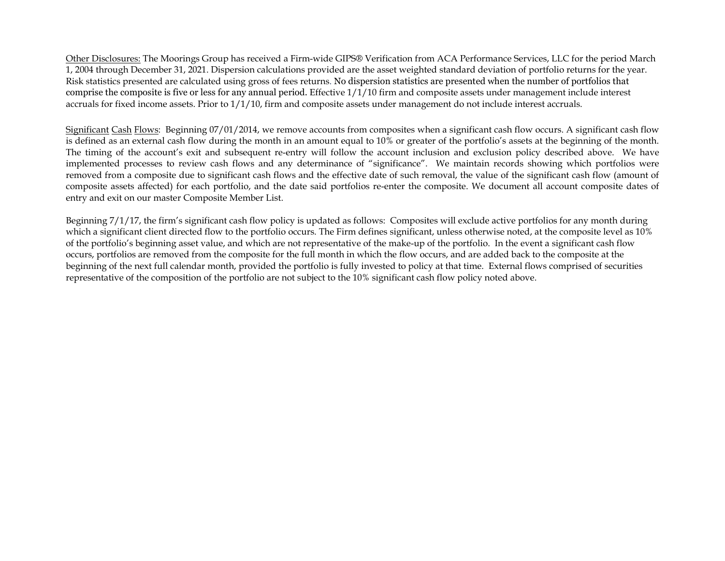Other Disclosures: The Moorings Group has received a Firm-wide GIPS® Verification from ACA Performance Services, LLC for the period March 1, 2004 through December 31, 2021. Dispersion calculations provided are the asset weighted standard deviation of portfolio returns for the year. Risk statistics presented are calculated using gross of fees returns. No dispersion statistics are presented when the number of portfolios that comprise the composite is five or less for any annual period. Effective 1/1/10 firm and composite assets under management include interest accruals for fixed income assets. Prior to 1/1/10, firm and composite assets under management do not include interest accruals.

Significant Cash Flows: Beginning 07/01/2014, we remove accounts from composites when a significant cash flow occurs. A significant cash flow is defined as an external cash flow during the month in an amount equal to 10% or greater of the portfolio's assets at the beginning of the month. The timing of the account's exit and subsequent re-entry will follow the account inclusion and exclusion policy described above. We have implemented processes to review cash flows and any determinance of "significance". We maintain records showing which portfolios were removed from a composite due to significant cash flows and the effective date of such removal, the value of the significant cash flow (amount of composite assets affected) for each portfolio, and the date said portfolios re-enter the composite. We document all account composite dates of entry and exit on our master Composite Member List.

Beginning 7/1/17, the firm's significant cash flow policy is updated as follows: Composites will exclude active portfolios for any month during which a significant client directed flow to the portfolio occurs. The Firm defines significant, unless otherwise noted, at the composite level as 10% of the portfolio's beginning asset value, and which are not representative of the make-up of the portfolio. In the event a significant cash flow occurs, portfolios are removed from the composite for the full month in which the flow occurs, and are added back to the composite at the beginning of the next full calendar month, provided the portfolio is fully invested to policy at that time. External flows comprised of securities representative of the composition of the portfolio are not subject to the 10% significant cash flow policy noted above.